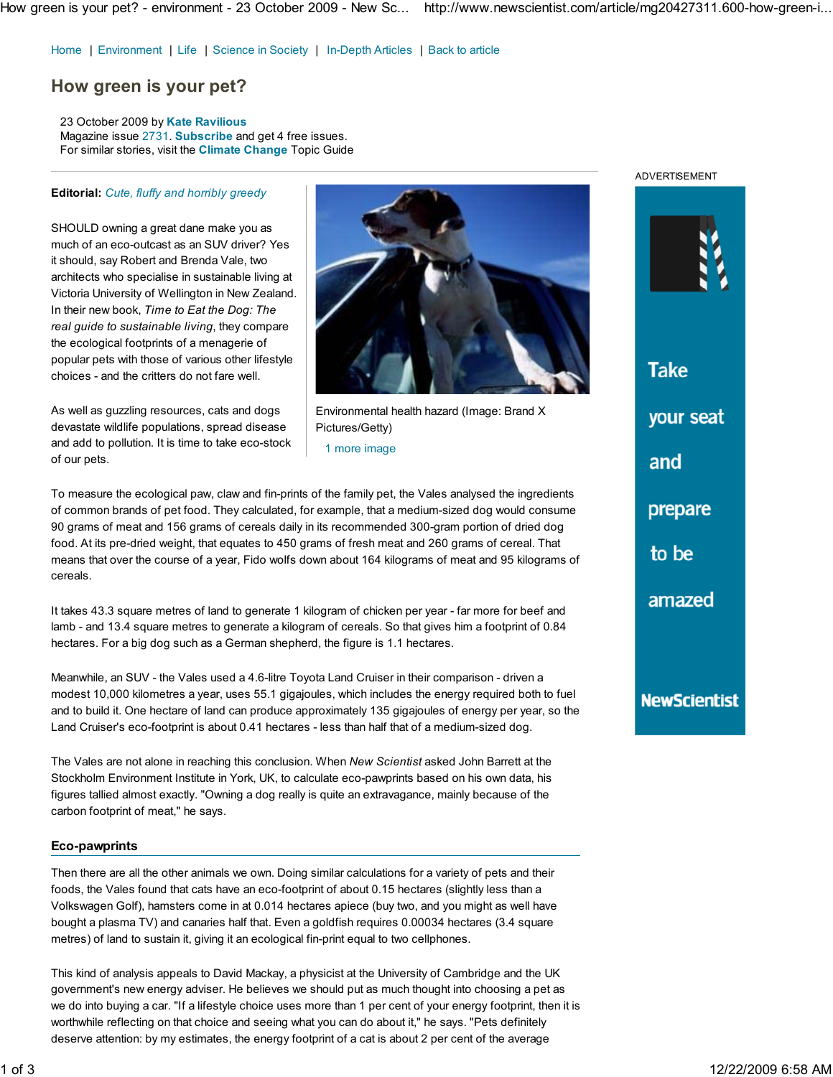Home | Environment | Life | Science in Society | In-Depth Articles | Back to article

## **How green is your pet?**

23 October 2009 by **Kate Ravilious** Magazine issue 2731. **Subscribe** and get 4 free issues. For similar stories, visit the **Climate Change** Topic Guide

### **Editorial:** *Cute, fluffy and horribly greedy*

SHOULD owning a great dane make you as much of an eco-outcast as an SUV driver? Yes it should, say Robert and Brenda Vale, two architects who specialise in sustainable living at Victoria University of Wellington in New Zealand. In their new book, *Time to Eat the Dog: The real guide to sustainable living*, they compare the ecological footprints of a menagerie of popular pets with those of various other lifestyle choices - and the critters do not fare well.

As well as guzzling resources, cats and dogs devastate wildlife populations, spread disease and add to pollution. It is time to take eco-stock of our pets.



Environmental health hazard (Image: Brand X Pictures/Getty)

1 more image

To measure the ecological paw, claw and fin-prints of the family pet, the Vales analysed the ingredients of common brands of pet food. They calculated, for example, that a medium-sized dog would consume 90 grams of meat and 156 grams of cereals daily in its recommended 300-gram portion of dried dog food. At its pre-dried weight, that equates to 450 grams of fresh meat and 260 grams of cereal. That means that over the course of a year, Fido wolfs down about 164 kilograms of meat and 95 kilograms of cereals.

It takes 43.3 square metres of land to generate 1 kilogram of chicken per year - far more for beef and lamb - and 13.4 square metres to generate a kilogram of cereals. So that gives him a footprint of 0.84 hectares. For a big dog such as a German shepherd, the figure is 1.1 hectares.

Meanwhile, an SUV - the Vales used a 4.6-litre Toyota Land Cruiser in their comparison - driven a modest 10,000 kilometres a year, uses 55.1 gigajoules, which includes the energy required both to fuel and to build it. One hectare of land can produce approximately 135 gigajoules of energy per year, so the Land Cruiser's eco-footprint is about 0.41 hectares - less than half that of a medium-sized dog.

The Vales are not alone in reaching this conclusion. When *New Scientist* asked John Barrett at the Stockholm Environment Institute in York, UK, to calculate eco-pawprints based on his own data, his figures tallied almost exactly. "Owning a dog really is quite an extravagance, mainly because of the carbon footprint of meat," he says.

#### **Eco-pawprints**

Then there are all the other animals we own. Doing similar calculations for a variety of pets and their foods, the Vales found that cats have an eco-footprint of about 0.15 hectares (slightly less than a Volkswagen Golf), hamsters come in at 0.014 hectares apiece (buy two, and you might as well have bought a plasma TV) and canaries half that. Even a goldfish requires 0.00034 hectares (3.4 square metres) of land to sustain it, giving it an ecological fin-print equal to two cellphones.

This kind of analysis appeals to David Mackay, a physicist at the University of Cambridge and the UK government's new energy adviser. He believes we should put as much thought into choosing a pet as we do into buying a car. "If a lifestyle choice uses more than 1 per cent of your energy footprint, then it is worthwhile reflecting on that choice and seeing what you can do about it," he says. "Pets definitely deserve attention: by my estimates, the energy footprint of a cat is about 2 per cent of the average

ADVERTISEMENT



**Take** your seat and prepare to be amazed

# **NewScientist**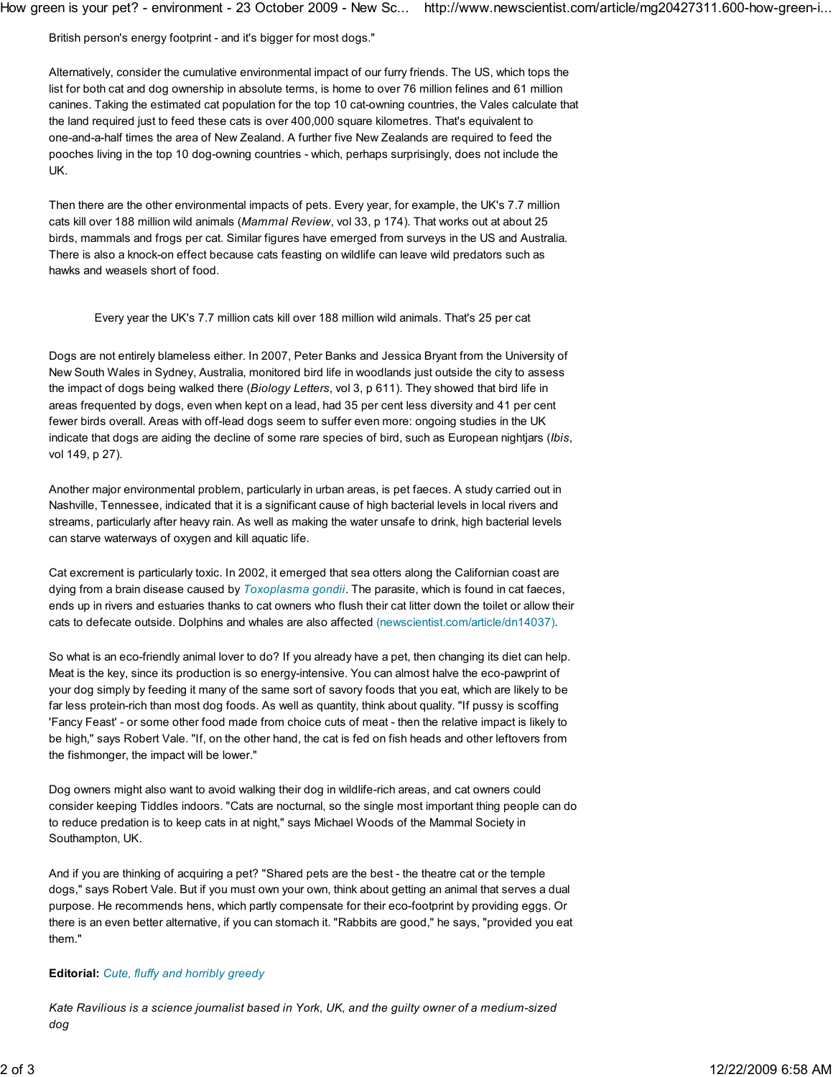British person's energy footprint - and it's bigger for most dogs."

Alternatively, consider the cumulative environmental impact of our furry friends. The US, which tops the list for both cat and dog ownership in absolute terms, is home to over 76 million felines and 61 million canines. Taking the estimated cat population for the top 10 cat-owning countries, the Vales calculate that the land required just to feed these cats is over 400,000 square kilometres. That's equivalent to one-and-a-half times the area of New Zealand. A further five New Zealands are required to feed the pooches living in the top 10 dog-owning countries - which, perhaps surprisingly, does not include the UK.

Then there are the other environmental impacts of pets. Every year, for example, the UK's 7.7 million cats kill over 188 million wild animals (*Mammal Review*, vol 33, p 174). That works out at about 25 birds, mammals and frogs per cat. Similar figures have emerged from surveys in the US and Australia. There is also a knock-on effect because cats feasting on wildlife can leave wild predators such as hawks and weasels short of food.

Every year the UK's 7.7 million cats kill over 188 million wild animals. That's 25 per cat

Dogs are not entirely blameless either. In 2007, Peter Banks and Jessica Bryant from the University of New South Wales in Sydney, Australia, monitored bird life in woodlands just outside the city to assess the impact of dogs being walked there (*Biology Letters*, vol 3, p 611). They showed that bird life in areas frequented by dogs, even when kept on a lead, had 35 per cent less diversity and 41 per cent fewer birds overall. Areas with off-lead dogs seem to suffer even more: ongoing studies in the UK indicate that dogs are aiding the decline of some rare species of bird, such as European nightjars (*Ibis*, vol 149, p 27).

Another major environmental problem, particularly in urban areas, is pet faeces. A study carried out in Nashville, Tennessee, indicated that it is a significant cause of high bacterial levels in local rivers and streams, particularly after heavy rain. As well as making the water unsafe to drink, high bacterial levels can starve waterways of oxygen and kill aquatic life.

Cat excrement is particularly toxic. In 2002, it emerged that sea otters along the Californian coast are dying from a brain disease caused by *Toxoplasma gondii*. The parasite, which is found in cat faeces, ends up in rivers and estuaries thanks to cat owners who flush their cat litter down the toilet or allow their cats to defecate outside. Dolphins and whales are also affected (newscientist.com/article/dn14037).

So what is an eco-friendly animal lover to do? If you already have a pet, then changing its diet can help. Meat is the key, since its production is so energy-intensive. You can almost halve the eco-pawprint of your dog simply by feeding it many of the same sort of savory foods that you eat, which are likely to be far less protein-rich than most dog foods. As well as quantity, think about quality. "If pussy is scoffing 'Fancy Feast' - or some other food made from choice cuts of meat - then the relative impact is likely to be high," says Robert Vale. "If, on the other hand, the cat is fed on fish heads and other leftovers from the fishmonger, the impact will be lower."

Dog owners might also want to avoid walking their dog in wildlife-rich areas, and cat owners could consider keeping Tiddles indoors. "Cats are nocturnal, so the single most important thing people can do to reduce predation is to keep cats in at night," says Michael Woods of the Mammal Society in Southampton, UK.

And if you are thinking of acquiring a pet? "Shared pets are the best - the theatre cat or the temple dogs," says Robert Vale. But if you must own your own, think about getting an animal that serves a dual purpose. He recommends hens, which partly compensate for their eco-footprint by providing eggs. Or there is an even better alternative, if you can stomach it. "Rabbits are good," he says, "provided you eat them."

### **Editorial:** *Cute, fluffy and horribly greedy*

*Kate Ravilious is a science journalist based in York, UK, and the guilty owner of a medium-sized dog*